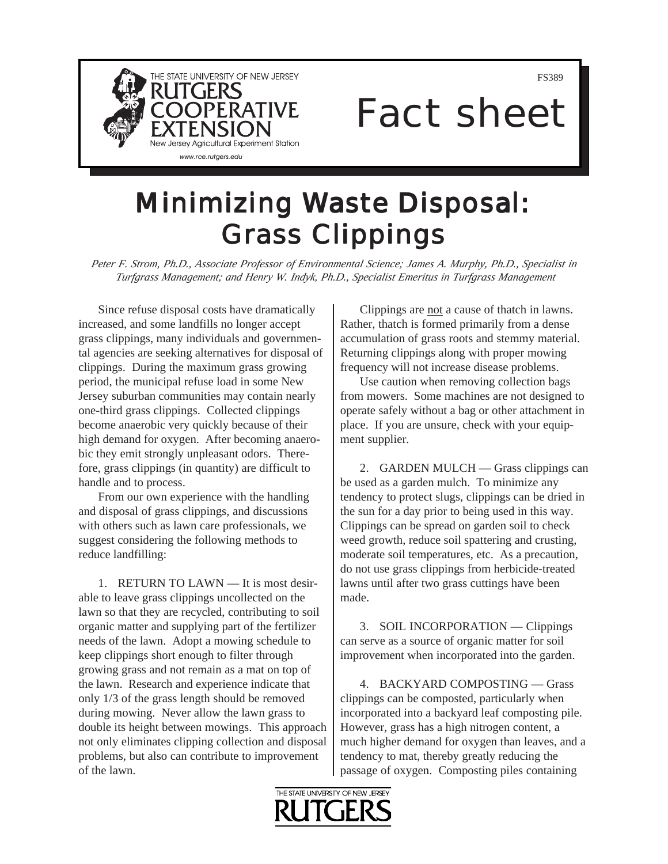

FS389

## Fact sheet

## **Minimizing Waste Disposal: Grass Clippings**

*Peter F. Strom, Ph.D., Associate Professor of Environmental Science; James A. Murphy, Ph.D., Specialist in Turfgrass Management; and Henry W. Indyk, Ph.D., Specialist Emeritus in Turfgrass Management* 

Since refuse disposal costs have dramatically increased, and some landfills no longer accept grass clippings, many individuals and governmental agencies are seeking alternatives for disposal of clippings. During the maximum grass growing period, the municipal refuse load in some New Jersey suburban communities may contain nearly one-third grass clippings. Collected clippings become anaerobic very quickly because of their high demand for oxygen. After becoming anaerobic they emit strongly unpleasant odors. Therefore, grass clippings (in quantity) are difficult to handle and to process.

From our own experience with the handling and disposal of grass clippings, and discussions with others such as lawn care professionals, we suggest considering the following methods to reduce landfilling:

1. RETURN TO LAWN — It is most desirable to leave grass clippings uncollected on the lawn so that they are recycled, contributing to soil organic matter and supplying part of the fertilizer needs of the lawn. Adopt a mowing schedule to keep clippings short enough to filter through growing grass and not remain as a mat on top of the lawn. Research and experience indicate that only 1/3 of the grass length should be removed during mowing. Never allow the lawn grass to double its height between mowings. This approach not only eliminates clipping collection and disposal problems, but also can contribute to improvement of the lawn.

Clippings are not a cause of thatch in lawns. Rather, thatch is formed primarily from a dense accumulation of grass roots and stemmy material. Returning clippings along with proper mowing frequency will not increase disease problems.

Use caution when removing collection bags from mowers. Some machines are not designed to operate safely without a bag or other attachment in place. If you are unsure, check with your equipment supplier.

2. GARDEN MULCH — Grass clippings can be used as a garden mulch. To minimize any tendency to protect slugs, clippings can be dried in the sun for a day prior to being used in this way. Clippings can be spread on garden soil to check weed growth, reduce soil spattering and crusting, moderate soil temperatures, etc. As a precaution, do not use grass clippings from herbicide-treated lawns until after two grass cuttings have been made.

3. SOIL INCORPORATION — Clippings can serve as a source of organic matter for soil improvement when incorporated into the garden.

4. BACKYARD COMPOSTING — Grass clippings can be composted, particularly when incorporated into a backyard leaf composting pile. However, grass has a high nitrogen content, a much higher demand for oxygen than leaves, and a tendency to mat, thereby greatly reducing the passage of oxygen. Composting piles containing